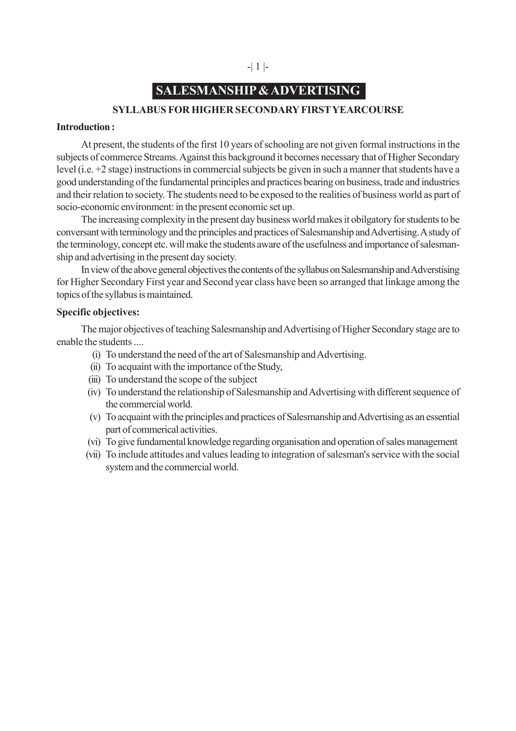# -| 1 |-

# **SALESMANSHIP & ADVERTISING**

# **SYLLABUS FOR HIGHER SECONDARY FIRST YEARCOURSE**

### **Introduction :**

At present, the students of the first 10 years of schooling are not given formal instructions in the subjects of commerce Streams. Against this background it becomes necessary that of Higher Secondary level (i.e. +2 stage) instructions in commercial subjects be given in such a manner that students have a good understanding of the fundamental principles and practices bearing on business, trade and industries and their relation to society. The students need to be exposed to the realities of business world as part of socio-economic environment: in the present economic set up.

The increasing complexity in the present day business world makes it obilgatory for students to be conversant with terminology and the principles and practices of Salesmanship and Advertising. A study of the terminology, concept etc. will make the students aware of the usefulness and importance of salesmanship and advertising in the present day society.

In view of the above general objectives the contents of the syllabus on Salesmanship and Adverstising for Higher Secondary First year and Second year class have been so arranged that linkage among the topics of the syllabus is maintained.

### **Specific objectives:**

The major objectives of teaching Salesmanship and Advertising of Higher Secondary stage are to enable the students ....

- (i) To understand the need of the art of Salesmanship and Advertising.
- (ii) To acquaint with the importance of the Study,
- (iii) To understand the scope of the subject
- (iv) To understand the relationship of Salesmanship and Advertising with different sequence of the commercial world.
- (v) To acquaint with the principles and practices of Salesmanship and Advertising as an essential part of commerical activities.
- (vi) To give fundamental knowledge regarding organisation and operation of sales management
- (vii) To include attitudes and values leading to integration of salesman's service with the social system and the commercial world.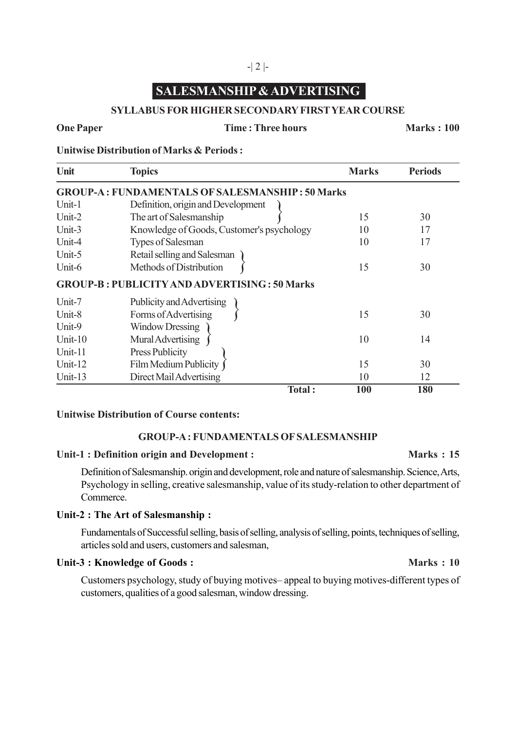# **SALESMANSHIP & ADVERTISING**

# **SYLLABUS FOR HIGHER SECONDARY FIRST YEAR COURSE**

## **One Paper Time : Three hours Marks : 100**

**Unitwise Distribution of Marks & Periods :**

| Unit       | <b>Topics</b>                                          | <b>Marks</b> | <b>Periods</b> |
|------------|--------------------------------------------------------|--------------|----------------|
|            | <b>GROUP-A: FUNDAMENTALS OF SALESMANSHIP: 50 Marks</b> |              |                |
| Unit-1     | Definition, origin and Development                     |              |                |
| Unit-2     | The art of Salesmanship                                | 15           | 30             |
| Unit-3     | Knowledge of Goods, Customer's psychology              | 10           | 17             |
| Unit-4     | Types of Salesman                                      | 10           | 17             |
| Unit-5     | Retail selling and Salesman                            |              |                |
| Unit-6     | Methods of Distribution                                | 15           | 30             |
|            | <b>GROUP-B: PUBLICITY AND ADVERTISING: 50 Marks</b>    |              |                |
| Unit-7     | Publicity and Advertising                              |              |                |
| Unit-8     | Forms of Advertising                                   | 15           | 30             |
| Unit-9     | <b>Window Dressing</b>                                 |              |                |
| Unit- $10$ | Mural Advertising                                      | 10           | 14             |
| Unit-11    | Press Publicity                                        |              |                |
| Unit- $12$ | Film Medium Publicity                                  | 15           | 30             |
| Unit-13    | Direct Mail Advertising                                | 10           | 12             |
|            | Total:                                                 | 100          | 180            |

# **Unitwise Distribution of Course contents:**

## **GROUP-A : FUNDAMENTALS OF SALESMANSHIP**

# Unit-1 : Definition origin and Development : Marks : 15

Definition of Salesmanship. origin and development, role and nature of salesmanship. Science, Arts, Psychology in selling, creative salesmanship, value of its study-relation to other department of Commerce.

## **Unit-2 : The Art of Salesmanship :**

Fundamentals of Successful selling, basis of selling, analysis of selling, points, techniques of selling, articles sold and users, customers and salesman,

# Unit-3 : Knowledge of Goods : **Marks : 10**

Customers psychology, study of buying motives– appeal to buying motives-different types of customers, qualities of a good salesman, window dressing.